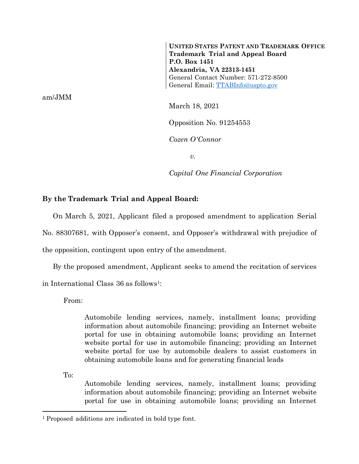**UNITED STATES PATENT AND TRADEMARK OFFICE Trademark Trial and Appeal Board P.O. Box 1451 Alexandria, VA 22313-1451** General Contact Number: 571-272-8500 General Email: [TTABInfo@uspto.gov](mailto:TTABInfo@uspto.gov)

am/JMM

March 18, 2021

Opposition No. 91254553

*Cozen O'Connor*

*v.*

*Capital One Financial Corporation*

## **By the Trademark Trial and Appeal Board:**

On March 5, 2021, Applicant filed a proposed amendment to application Serial

No. 88307681, with Opposer's consent, and Opposer's withdrawal with prejudice of

the opposition, contingent upon entry of the amendment.

By the proposed amendment, Applicant seeks to amend the recitation of services

in International Class 36 as follows<sup>1</sup>:

From:

Automobile lending services, namely, installment loans; providing information about automobile financing; providing an Internet website portal for use in obtaining automobile loans; providing an Internet website portal for use in automobile financing; providing an Internet website portal for use by automobile dealers to assist customers in obtaining automobile loans and for generating financial leads

To:

Automobile lending services, namely, installment loans; providing information about automobile financing; providing an Internet website portal for use in obtaining automobile loans; providing an Internet

<sup>1</sup> Proposed additions are indicated in bold type font.